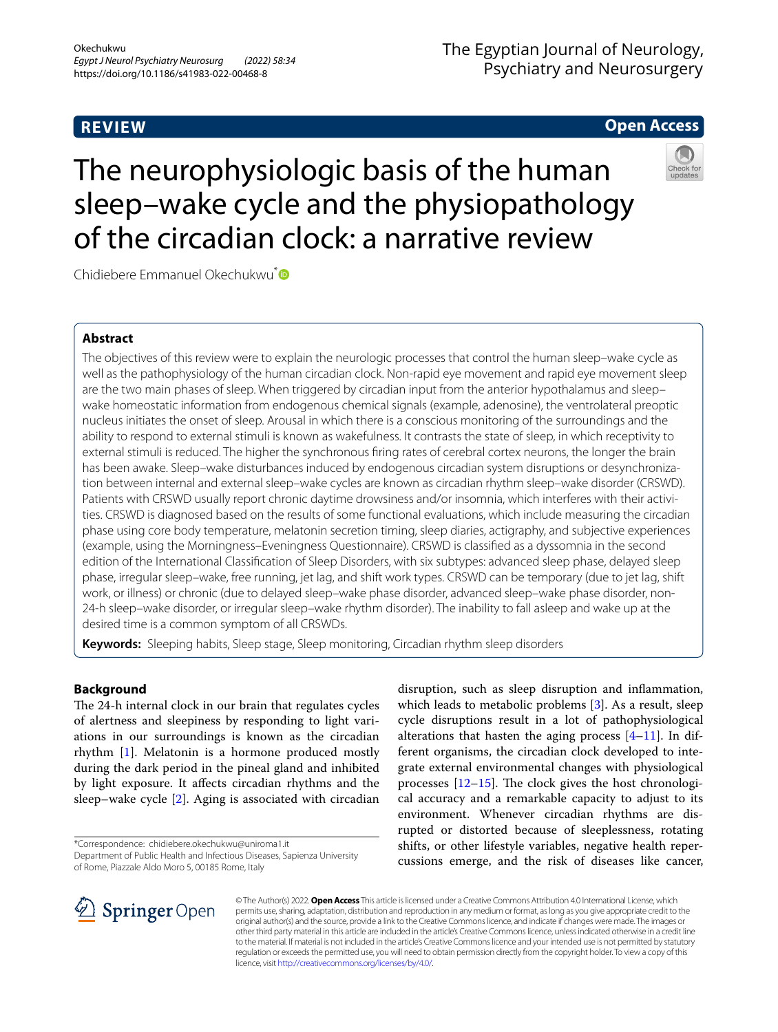# **REVIEW**

# The Egyptian Journal of Neurology, Psychiatry and Neurosurgery

# **Open Access**

# The neurophysiologic basis of the human sleep–wake cycle and the physiopathology



Chidiebere Emmanuel Okechukwu<sup>[\\*](http://orcid.org/0000-0002-4840-5918)</sup>

# **Abstract**

The objectives of this review were to explain the neurologic processes that control the human sleep–wake cycle as well as the pathophysiology of the human circadian clock. Non-rapid eye movement and rapid eye movement sleep are the two main phases of sleep. When triggered by circadian input from the anterior hypothalamus and sleep– wake homeostatic information from endogenous chemical signals (example, adenosine), the ventrolateral preoptic nucleus initiates the onset of sleep. Arousal in which there is a conscious monitoring of the surroundings and the ability to respond to external stimuli is known as wakefulness. It contrasts the state of sleep, in which receptivity to external stimuli is reduced. The higher the synchronous fring rates of cerebral cortex neurons, the longer the brain has been awake. Sleep–wake disturbances induced by endogenous circadian system disruptions or desynchronization between internal and external sleep–wake cycles are known as circadian rhythm sleep–wake disorder (CRSWD). Patients with CRSWD usually report chronic daytime drowsiness and/or insomnia, which interferes with their activities. CRSWD is diagnosed based on the results of some functional evaluations, which include measuring the circadian phase using core body temperature, melatonin secretion timing, sleep diaries, actigraphy, and subjective experiences (example, using the Morningness–Eveningness Questionnaire). CRSWD is classifed as a dyssomnia in the second edition of the International Classifcation of Sleep Disorders, with six subtypes: advanced sleep phase, delayed sleep phase, irregular sleep–wake, free running, jet lag, and shift work types. CRSWD can be temporary (due to jet lag, shift work, or illness) or chronic (due to delayed sleep–wake phase disorder, advanced sleep–wake phase disorder, non-24-h sleep–wake disorder, or irregular sleep–wake rhythm disorder). The inability to fall asleep and wake up at the desired time is a common symptom of all CRSWDs.

**Keywords:** Sleeping habits, Sleep stage, Sleep monitoring, Circadian rhythm sleep disorders

of the circadian clock: a narrative review

# **Background**

The 24-h internal clock in our brain that regulates cycles of alertness and sleepiness by responding to light variations in our surroundings is known as the circadian rhythm [[1\]](#page-4-0). Melatonin is a hormone produced mostly during the dark period in the pineal gland and inhibited by light exposure. It afects circadian rhythms and the sleep–wake cycle [[2](#page-4-1)]. Aging is associated with circadian

\*Correspondence: chidiebere.okechukwu@uniroma1.it

Department of Public Health and Infectious Diseases, Sapienza University of Rome, Piazzale Aldo Moro 5, 00185 Rome, Italy

disruption, such as sleep disruption and infammation, which leads to metabolic problems [\[3\]](#page-4-2). As a result, sleep cycle disruptions result in a lot of pathophysiological alterations that hasten the aging process  $[4-11]$  $[4-11]$ . In different organisms, the circadian clock developed to integrate external environmental changes with physiological processes  $[12-15]$  $[12-15]$  $[12-15]$ . The clock gives the host chronological accuracy and a remarkable capacity to adjust to its environment. Whenever circadian rhythms are disrupted or distorted because of sleeplessness, rotating shifts, or other lifestyle variables, negative health repercussions emerge, and the risk of diseases like cancer,



© The Author(s) 2022. **Open Access** This article is licensed under a Creative Commons Attribution 4.0 International License, which permits use, sharing, adaptation, distribution and reproduction in any medium or format, as long as you give appropriate credit to the original author(s) and the source, provide a link to the Creative Commons licence, and indicate if changes were made. The images or other third party material in this article are included in the article's Creative Commons licence, unless indicated otherwise in a credit line to the material. If material is not included in the article's Creative Commons licence and your intended use is not permitted by statutory regulation or exceeds the permitted use, you will need to obtain permission directly from the copyright holder. To view a copy of this licence, visit [http://creativecommons.org/licenses/by/4.0/.](http://creativecommons.org/licenses/by/4.0/)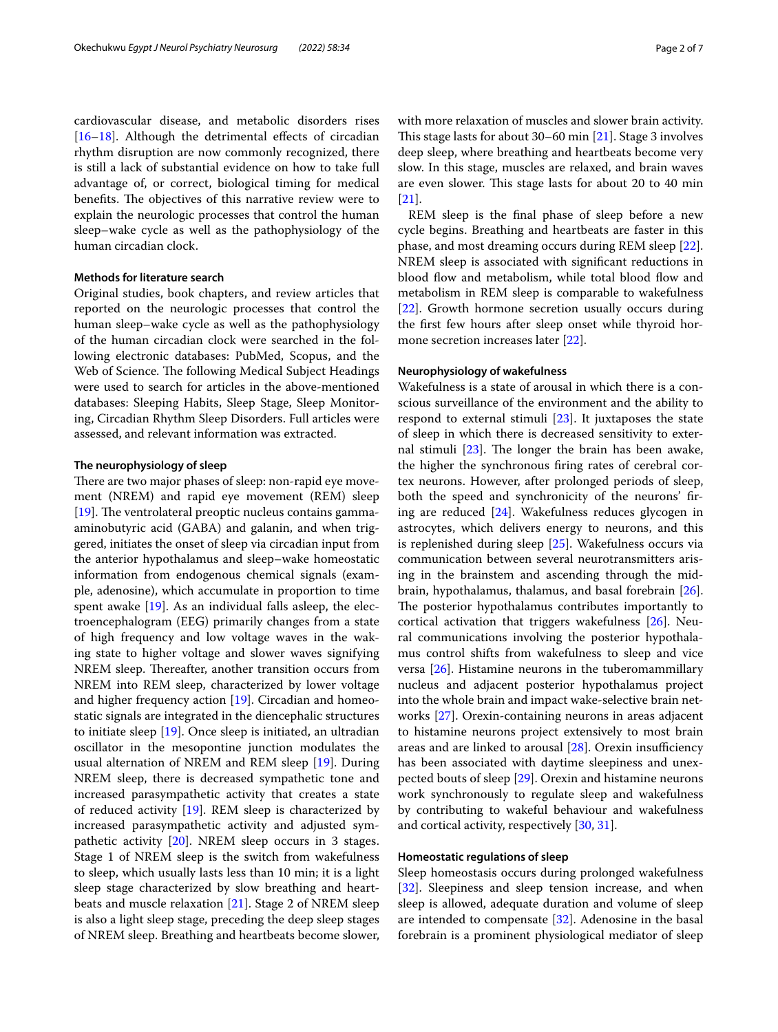cardiovascular disease, and metabolic disorders rises  $[16–18]$  $[16–18]$  $[16–18]$  $[16–18]$ . Although the detrimental effects of circadian rhythm disruption are now commonly recognized, there is still a lack of substantial evidence on how to take full advantage of, or correct, biological timing for medical benefits. The objectives of this narrative review were to explain the neurologic processes that control the human sleep–wake cycle as well as the pathophysiology of the human circadian clock.

#### **Methods for literature search**

Original studies, book chapters, and review articles that reported on the neurologic processes that control the human sleep–wake cycle as well as the pathophysiology of the human circadian clock were searched in the following electronic databases: PubMed, Scopus, and the Web of Science. The following Medical Subject Headings were used to search for articles in the above-mentioned databases: Sleeping Habits, Sleep Stage, Sleep Monitoring, Circadian Rhythm Sleep Disorders. Full articles were assessed, and relevant information was extracted.

#### **The neurophysiology of sleep**

There are two major phases of sleep: non-rapid eye movement (NREM) and rapid eye movement (REM) sleep  $[19]$  $[19]$ . The ventrolateral preoptic nucleus contains gammaaminobutyric acid (GABA) and galanin, and when triggered, initiates the onset of sleep via circadian input from the anterior hypothalamus and sleep–wake homeostatic information from endogenous chemical signals (example, adenosine), which accumulate in proportion to time spent awake [[19\]](#page-5-6). As an individual falls asleep, the electroencephalogram (EEG) primarily changes from a state of high frequency and low voltage waves in the waking state to higher voltage and slower waves signifying NREM sleep. Thereafter, another transition occurs from NREM into REM sleep, characterized by lower voltage and higher frequency action [\[19](#page-5-6)]. Circadian and homeostatic signals are integrated in the diencephalic structures to initiate sleep [[19\]](#page-5-6). Once sleep is initiated, an ultradian oscillator in the mesopontine junction modulates the usual alternation of NREM and REM sleep [[19\]](#page-5-6). During NREM sleep, there is decreased sympathetic tone and increased parasympathetic activity that creates a state of reduced activity [[19](#page-5-6)]. REM sleep is characterized by increased parasympathetic activity and adjusted sympathetic activity [[20\]](#page-5-7). NREM sleep occurs in 3 stages. Stage 1 of NREM sleep is the switch from wakefulness to sleep, which usually lasts less than 10 min; it is a light sleep stage characterized by slow breathing and heartbeats and muscle relaxation [\[21](#page-5-8)]. Stage 2 of NREM sleep is also a light sleep stage, preceding the deep sleep stages of NREM sleep. Breathing and heartbeats become slower,

with more relaxation of muscles and slower brain activity. This stage lasts for about  $30-60$  min [[21\]](#page-5-8). Stage 3 involves deep sleep, where breathing and heartbeats become very slow. In this stage, muscles are relaxed, and brain waves

[[21\]](#page-5-8). REM sleep is the fnal phase of sleep before a new cycle begins. Breathing and heartbeats are faster in this phase, and most dreaming occurs during REM sleep [\[22](#page-5-9)]. NREM sleep is associated with signifcant reductions in blood flow and metabolism, while total blood flow and metabolism in REM sleep is comparable to wakefulness [[22\]](#page-5-9). Growth hormone secretion usually occurs during the frst few hours after sleep onset while thyroid hormone secretion increases later [[22\]](#page-5-9).

are even slower. This stage lasts for about 20 to 40 min

## **Neurophysiology of wakefulness**

Wakefulness is a state of arousal in which there is a conscious surveillance of the environment and the ability to respond to external stimuli [\[23](#page-5-10)]. It juxtaposes the state of sleep in which there is decreased sensitivity to external stimuli  $[23]$ . The longer the brain has been awake, the higher the synchronous fring rates of cerebral cortex neurons. However, after prolonged periods of sleep, both the speed and synchronicity of the neurons' fring are reduced [\[24\]](#page-5-11). Wakefulness reduces glycogen in astrocytes, which delivers energy to neurons, and this is replenished during sleep [\[25\]](#page-5-12). Wakefulness occurs via communication between several neurotransmitters arising in the brainstem and ascending through the midbrain, hypothalamus, thalamus, and basal forebrain [\[26](#page-5-13)]. The posterior hypothalamus contributes importantly to cortical activation that triggers wakefulness [[26\]](#page-5-13). Neural communications involving the posterior hypothalamus control shifts from wakefulness to sleep and vice versa [\[26](#page-5-13)]. Histamine neurons in the tuberomammillary nucleus and adjacent posterior hypothalamus project into the whole brain and impact wake-selective brain networks [[27](#page-5-14)]. Orexin-containing neurons in areas adjacent to histamine neurons project extensively to most brain areas and are linked to arousal  $[28]$  $[28]$ . Orexin insufficiency has been associated with daytime sleepiness and unexpected bouts of sleep [\[29](#page-5-16)]. Orexin and histamine neurons work synchronously to regulate sleep and wakefulness by contributing to wakeful behaviour and wakefulness and cortical activity, respectively [\[30,](#page-5-17) [31](#page-5-18)].

### **Homeostatic regulations of sleep**

Sleep homeostasis occurs during prolonged wakefulness [[32\]](#page-5-19). Sleepiness and sleep tension increase, and when sleep is allowed, adequate duration and volume of sleep are intended to compensate [[32\]](#page-5-19). Adenosine in the basal forebrain is a prominent physiological mediator of sleep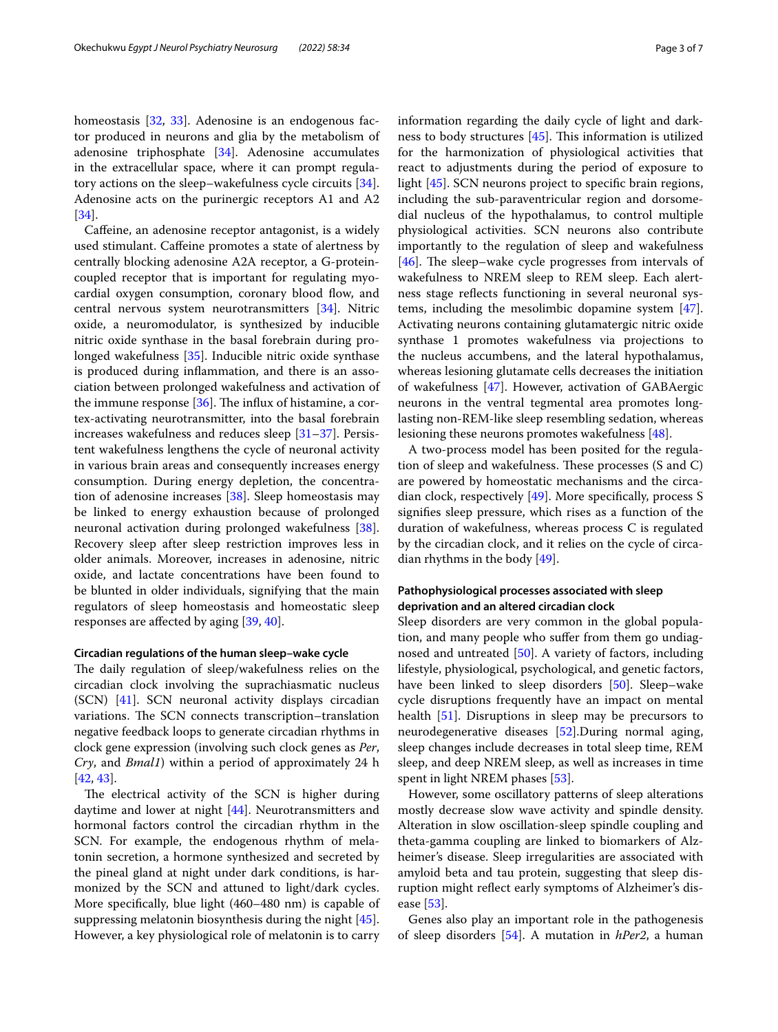homeostasis [\[32](#page-5-19), [33](#page-5-20)]. Adenosine is an endogenous factor produced in neurons and glia by the metabolism of adenosine triphosphate [\[34\]](#page-5-21). Adenosine accumulates in the extracellular space, where it can prompt regulatory actions on the sleep–wakefulness cycle circuits [\[34](#page-5-21)]. Adenosine acts on the purinergic receptors A1 and A2 [[34\]](#page-5-21).

Caffeine, an adenosine receptor antagonist, is a widely used stimulant. Cafeine promotes a state of alertness by centrally blocking adenosine A2A receptor, a G-proteincoupled receptor that is important for regulating myocardial oxygen consumption, coronary blood flow, and central nervous system neurotransmitters [\[34](#page-5-21)]. Nitric oxide, a neuromodulator, is synthesized by inducible nitric oxide synthase in the basal forebrain during prolonged wakefulness [[35](#page-5-22)]. Inducible nitric oxide synthase is produced during infammation, and there is an association between prolonged wakefulness and activation of the immune response  $[36]$  $[36]$ . The influx of histamine, a cortex-activating neurotransmitter, into the basal forebrain increases wakefulness and reduces sleep [\[31–](#page-5-18)[37\]](#page-5-24). Persistent wakefulness lengthens the cycle of neuronal activity in various brain areas and consequently increases energy consumption. During energy depletion, the concentration of adenosine increases [\[38\]](#page-5-25). Sleep homeostasis may be linked to energy exhaustion because of prolonged neuronal activation during prolonged wakefulness [\[38](#page-5-25)]. Recovery sleep after sleep restriction improves less in older animals. Moreover, increases in adenosine, nitric oxide, and lactate concentrations have been found to be blunted in older individuals, signifying that the main regulators of sleep homeostasis and homeostatic sleep responses are afected by aging [\[39](#page-5-26), [40](#page-5-27)].

## **Circadian regulations of the human sleep–wake cycle**

The daily regulation of sleep/wakefulness relies on the circadian clock involving the suprachiasmatic nucleus (SCN) [[41](#page-5-28)]. SCN neuronal activity displays circadian variations. The SCN connects transcription–translation negative feedback loops to generate circadian rhythms in clock gene expression (involving such clock genes as *Per*, *Cry*, and *Bmal1*) within a period of approximately 24 h [[42,](#page-5-29) [43](#page-5-30)].

The electrical activity of the SCN is higher during daytime and lower at night [\[44\]](#page-5-31). Neurotransmitters and hormonal factors control the circadian rhythm in the SCN. For example, the endogenous rhythm of melatonin secretion, a hormone synthesized and secreted by the pineal gland at night under dark conditions, is harmonized by the SCN and attuned to light/dark cycles. More specifcally, blue light (460–480 nm) is capable of suppressing melatonin biosynthesis during the night [\[45](#page-5-32)]. However, a key physiological role of melatonin is to carry information regarding the daily cycle of light and darkness to body structures  $[45]$  $[45]$  $[45]$ . This information is utilized for the harmonization of physiological activities that react to adjustments during the period of exposure to light [\[45](#page-5-32)]. SCN neurons project to specifc brain regions, including the sub-paraventricular region and dorsomedial nucleus of the hypothalamus, to control multiple physiological activities. SCN neurons also contribute importantly to the regulation of sleep and wakefulness [[46\]](#page-5-33). The sleep–wake cycle progresses from intervals of wakefulness to NREM sleep to REM sleep. Each alertness stage refects functioning in several neuronal systems, including the mesolimbic dopamine system [\[47](#page-5-34)]. Activating neurons containing glutamatergic nitric oxide synthase 1 promotes wakefulness via projections to the nucleus accumbens, and the lateral hypothalamus,

whereas lesioning glutamate cells decreases the initiation of wakefulness [\[47](#page-5-34)]. However, activation of GABAergic neurons in the ventral tegmental area promotes longlasting non-REM-like sleep resembling sedation, whereas lesioning these neurons promotes wakefulness [\[48](#page-5-35)].

A two-process model has been posited for the regulation of sleep and wakefulness. These processes  $(S \text{ and } C)$ are powered by homeostatic mechanisms and the circadian clock, respectively [[49\]](#page-5-36). More specifcally, process S signifes sleep pressure, which rises as a function of the duration of wakefulness, whereas process C is regulated by the circadian clock, and it relies on the cycle of circadian rhythms in the body [\[49\]](#page-5-36).

# **Pathophysiological processes associated with sleep deprivation and an altered circadian clock**

Sleep disorders are very common in the global population, and many people who sufer from them go undiagnosed and untreated [\[50](#page-5-37)]. A variety of factors, including lifestyle, physiological, psychological, and genetic factors, have been linked to sleep disorders [\[50](#page-5-37)]. Sleep–wake cycle disruptions frequently have an impact on mental health [[51\]](#page-5-38). Disruptions in sleep may be precursors to neurodegenerative diseases [\[52](#page-5-39)].During normal aging, sleep changes include decreases in total sleep time, REM sleep, and deep NREM sleep, as well as increases in time spent in light NREM phases [\[53](#page-5-40)].

However, some oscillatory patterns of sleep alterations mostly decrease slow wave activity and spindle density. Alteration in slow oscillation-sleep spindle coupling and theta-gamma coupling are linked to biomarkers of Alzheimer's disease. Sleep irregularities are associated with amyloid beta and tau protein, suggesting that sleep disruption might refect early symptoms of Alzheimer's disease [[53](#page-5-40)].

Genes also play an important role in the pathogenesis of sleep disorders [[54\]](#page-5-41). A mutation in *hPer2*, a human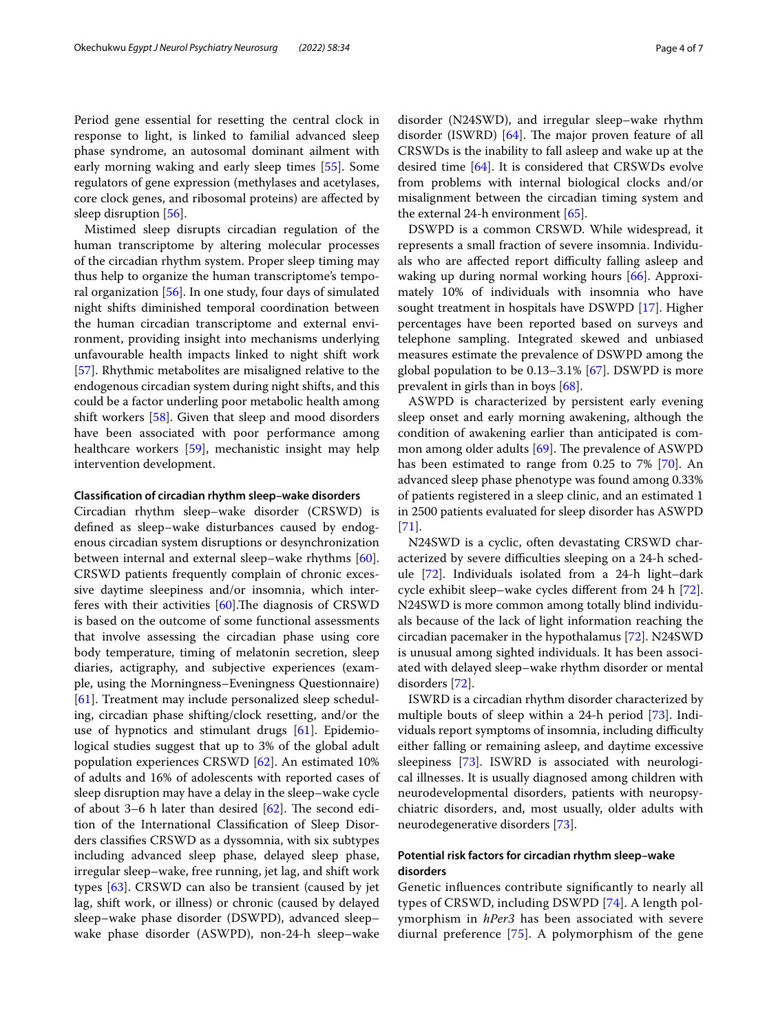Period gene essential for resetting the central clock in response to light, is linked to familial advanced sleep phase syndrome, an autosomal dominant ailment with early morning waking and early sleep times [[55](#page-5-42)]. Some regulators of gene expression (methylases and acetylases, core clock genes, and ribosomal proteins) are afected by sleep disruption [[56\]](#page-5-43).

Mistimed sleep disrupts circadian regulation of the human transcriptome by altering molecular processes of the circadian rhythm system. Proper sleep timing may thus help to organize the human transcriptome's temporal organization [\[56](#page-5-43)]. In one study, four days of simulated night shifts diminished temporal coordination between the human circadian transcriptome and external environment, providing insight into mechanisms underlying unfavourable health impacts linked to night shift work [[57\]](#page-5-44). Rhythmic metabolites are misaligned relative to the endogenous circadian system during night shifts, and this could be a factor underling poor metabolic health among shift workers [\[58](#page-6-0)]. Given that sleep and mood disorders have been associated with poor performance among healthcare workers [[59](#page-6-1)], mechanistic insight may help intervention development.

#### **Classifcation of circadian rhythm sleep–wake disorders**

Circadian rhythm sleep–wake disorder (CRSWD) is defned as sleep–wake disturbances caused by endogenous circadian system disruptions or desynchronization between internal and external sleep–wake rhythms [\[60](#page-6-2)]. CRSWD patients frequently complain of chronic excessive daytime sleepiness and/or insomnia, which interferes with their activities  $[60]$  $[60]$ . The diagnosis of CRSWD is based on the outcome of some functional assessments that involve assessing the circadian phase using core body temperature, timing of melatonin secretion, sleep diaries, actigraphy, and subjective experiences (example, using the Morningness–Eveningness Questionnaire) [[61\]](#page-6-3). Treatment may include personalized sleep scheduling, circadian phase shifting/clock resetting, and/or the use of hypnotics and stimulant drugs [[61\]](#page-6-3). Epidemiological studies suggest that up to 3% of the global adult population experiences CRSWD [\[62\]](#page-6-4). An estimated 10% of adults and 16% of adolescents with reported cases of sleep disruption may have a delay in the sleep–wake cycle of about 3–6 h later than desired  $[62]$  $[62]$ . The second edition of the International Classifcation of Sleep Disorders classifes CRSWD as a dyssomnia, with six subtypes including advanced sleep phase, delayed sleep phase, irregular sleep–wake, free running, jet lag, and shift work types [[63\]](#page-6-5). CRSWD can also be transient (caused by jet lag, shift work, or illness) or chronic (caused by delayed sleep–wake phase disorder (DSWPD), advanced sleep– wake phase disorder (ASWPD), non-24-h sleep–wake disorder (N24SWD), and irregular sleep–wake rhythm disorder (ISWRD)  $[64]$  $[64]$  $[64]$ . The major proven feature of all CRSWDs is the inability to fall asleep and wake up at the desired time [\[64](#page-6-6)]. It is considered that CRSWDs evolve from problems with internal biological clocks and/or misalignment between the circadian timing system and the external 24-h environment [[65\]](#page-6-7).

DSWPD is a common CRSWD. While widespread, it represents a small fraction of severe insomnia. Individuals who are affected report difficulty falling asleep and waking up during normal working hours [[66\]](#page-6-8). Approximately 10% of individuals with insomnia who have sought treatment in hospitals have DSWPD [[17\]](#page-5-45). Higher percentages have been reported based on surveys and telephone sampling. Integrated skewed and unbiased measures estimate the prevalence of DSWPD among the global population to be  $0.13-3.1\%$  [[67](#page-6-9)]. DSWPD is more prevalent in girls than in boys [\[68\]](#page-6-10).

ASWPD is characterized by persistent early evening sleep onset and early morning awakening, although the condition of awakening earlier than anticipated is common among older adults  $[69]$  $[69]$ . The prevalence of ASWPD has been estimated to range from 0.25 to 7% [[70\]](#page-6-12). An advanced sleep phase phenotype was found among 0.33% of patients registered in a sleep clinic, and an estimated 1 in 2500 patients evaluated for sleep disorder has ASWPD [[71\]](#page-6-13).

N24SWD is a cyclic, often devastating CRSWD characterized by severe difficulties sleeping on a 24-h schedule [[72\]](#page-6-14). Individuals isolated from a 24-h light–dark cycle exhibit sleep–wake cycles diferent from 24 h [\[72](#page-6-14)]. N24SWD is more common among totally blind individuals because of the lack of light information reaching the circadian pacemaker in the hypothalamus [\[72](#page-6-14)]. N24SWD is unusual among sighted individuals. It has been associated with delayed sleep–wake rhythm disorder or mental disorders [\[72](#page-6-14)].

ISWRD is a circadian rhythm disorder characterized by multiple bouts of sleep within a 24-h period [\[73](#page-6-15)]. Individuals report symptoms of insomnia, including difficulty either falling or remaining asleep, and daytime excessive sleepiness [\[73](#page-6-15)]. ISWRD is associated with neurological illnesses. It is usually diagnosed among children with neurodevelopmental disorders, patients with neuropsychiatric disorders, and, most usually, older adults with neurodegenerative disorders [[73](#page-6-15)].

# **Potential risk factors for circadian rhythm sleep–wake disorders**

Genetic infuences contribute signifcantly to nearly all types of CRSWD, including DSWPD [[74\]](#page-6-16). A length polymorphism in *hPer3* has been associated with severe diurnal preference [\[75\]](#page-6-17). A polymorphism of the gene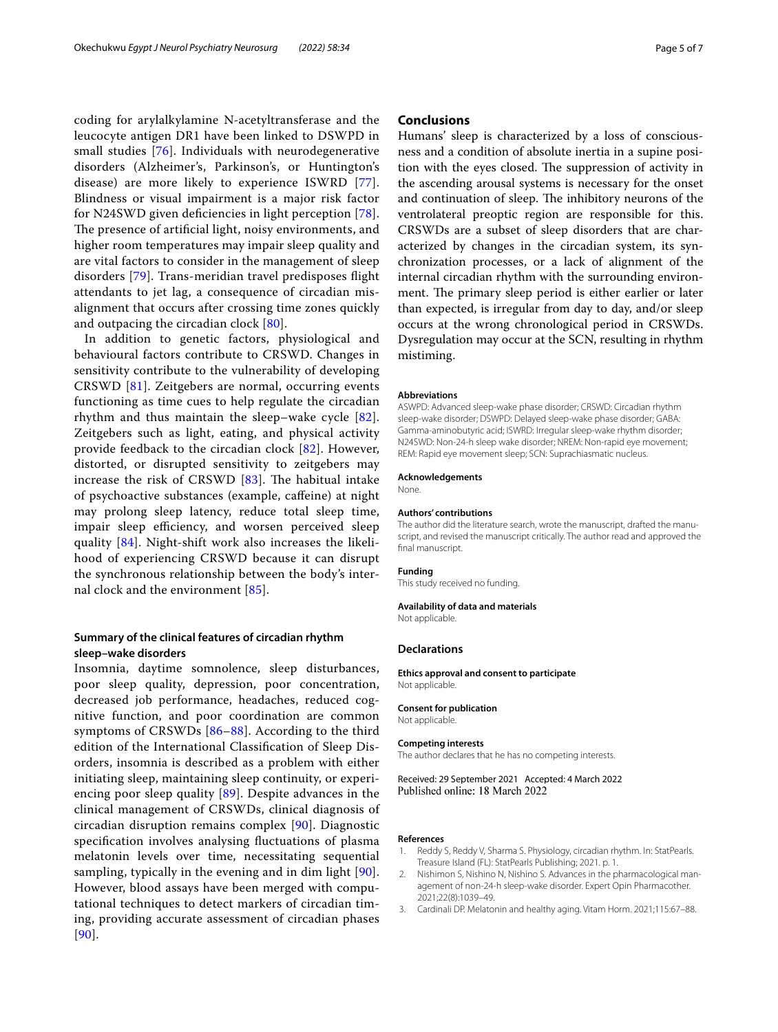coding for arylalkylamine N-acetyltransferase and the leucocyte antigen DR1 have been linked to DSWPD in small studies [\[76](#page-6-18)]. Individuals with neurodegenerative disorders (Alzheimer's, Parkinson's, or Huntington's disease) are more likely to experience ISWRD [[77\]](#page-6-19). Blindness or visual impairment is a major risk factor for N24SWD given defciencies in light perception [[78\]](#page-6-20). The presence of artificial light, noisy environments, and higher room temperatures may impair sleep quality and are vital factors to consider in the management of sleep disorders [[79](#page-6-21)]. Trans-meridian travel predisposes fight attendants to jet lag, a consequence of circadian misalignment that occurs after crossing time zones quickly and outpacing the circadian clock [\[80](#page-6-22)].

In addition to genetic factors, physiological and behavioural factors contribute to CRSWD. Changes in sensitivity contribute to the vulnerability of developing CRSWD [[81\]](#page-6-23). Zeitgebers are normal, occurring events functioning as time cues to help regulate the circadian rhythm and thus maintain the sleep–wake cycle [[82](#page-6-24)]. Zeitgebers such as light, eating, and physical activity provide feedback to the circadian clock [[82](#page-6-24)]. However, distorted, or disrupted sensitivity to zeitgebers may increase the risk of CRSWD  $[83]$  $[83]$ . The habitual intake of psychoactive substances (example, cafeine) at night may prolong sleep latency, reduce total sleep time, impair sleep efficiency, and worsen perceived sleep quality [[84\]](#page-6-26). Night-shift work also increases the likelihood of experiencing CRSWD because it can disrupt the synchronous relationship between the body's internal clock and the environment [[85\]](#page-6-27).

# **Summary of the clinical features of circadian rhythm sleep–wake disorders**

Insomnia, daytime somnolence, sleep disturbances, poor sleep quality, depression, poor concentration, decreased job performance, headaches, reduced cognitive function, and poor coordination are common symptoms of CRSWDs [\[86–](#page-6-28)[88\]](#page-6-29). According to the third edition of the International Classifcation of Sleep Disorders, insomnia is described as a problem with either initiating sleep, maintaining sleep continuity, or experiencing poor sleep quality [[89\]](#page-6-30). Despite advances in the clinical management of CRSWDs, clinical diagnosis of circadian disruption remains complex [[90](#page-6-31)]. Diagnostic specifcation involves analysing fuctuations of plasma melatonin levels over time, necessitating sequential sampling, typically in the evening and in dim light [[90\]](#page-6-31). However, blood assays have been merged with computational techniques to detect markers of circadian timing, providing accurate assessment of circadian phases [[90](#page-6-31)].

# **Conclusions**

Humans' sleep is characterized by a loss of consciousness and a condition of absolute inertia in a supine position with the eyes closed. The suppression of activity in the ascending arousal systems is necessary for the onset and continuation of sleep. The inhibitory neurons of the ventrolateral preoptic region are responsible for this. CRSWDs are a subset of sleep disorders that are characterized by changes in the circadian system, its synchronization processes, or a lack of alignment of the internal circadian rhythm with the surrounding environment. The primary sleep period is either earlier or later than expected, is irregular from day to day, and/or sleep occurs at the wrong chronological period in CRSWDs. Dysregulation may occur at the SCN, resulting in rhythm mistiming.

#### **Abbreviations**

ASWPD: Advanced sleep-wake phase disorder; CRSWD: Circadian rhythm sleep-wake disorder; DSWPD: Delayed sleep-wake phase disorder; GABA: Gamma-aminobutyric acid; ISWRD: Irregular sleep-wake rhythm disorder; N24SWD: Non-24-h sleep wake disorder; NREM: Non-rapid eye movement; REM: Rapid eye movement sleep; SCN: Suprachiasmatic nucleus.

#### **Acknowledgements**

None.

#### **Authors' contributions**

The author did the literature search, wrote the manuscript, drafted the manuscript, and revised the manuscript critically. The author read and approved the final manuscript.

#### **Funding**

This study received no funding.

#### **Availability of data and materials**

Not applicable.

#### **Declarations**

**Ethics approval and consent to participate** Not applicable.

# **Consent for publication**

Not applicable.

#### **Competing interests**

The author declares that he has no competing interests.

Received: 29 September 2021 Accepted: 4 March 2022 Published online: 18 March 2022

#### **References**

- <span id="page-4-0"></span>Reddy S, Reddy V, Sharma S. Physiology, circadian rhythm. In: StatPearls. Treasure Island (FL): StatPearls Publishing; 2021. p. 1.
- <span id="page-4-1"></span>2. Nishimon S, Nishino N, Nishino S. Advances in the pharmacological management of non-24-h sleep-wake disorder. Expert Opin Pharmacother. 2021;22(8):1039–49.
- <span id="page-4-2"></span>3. Cardinali DP. Melatonin and healthy aging. Vitam Horm. 2021;115:67–88.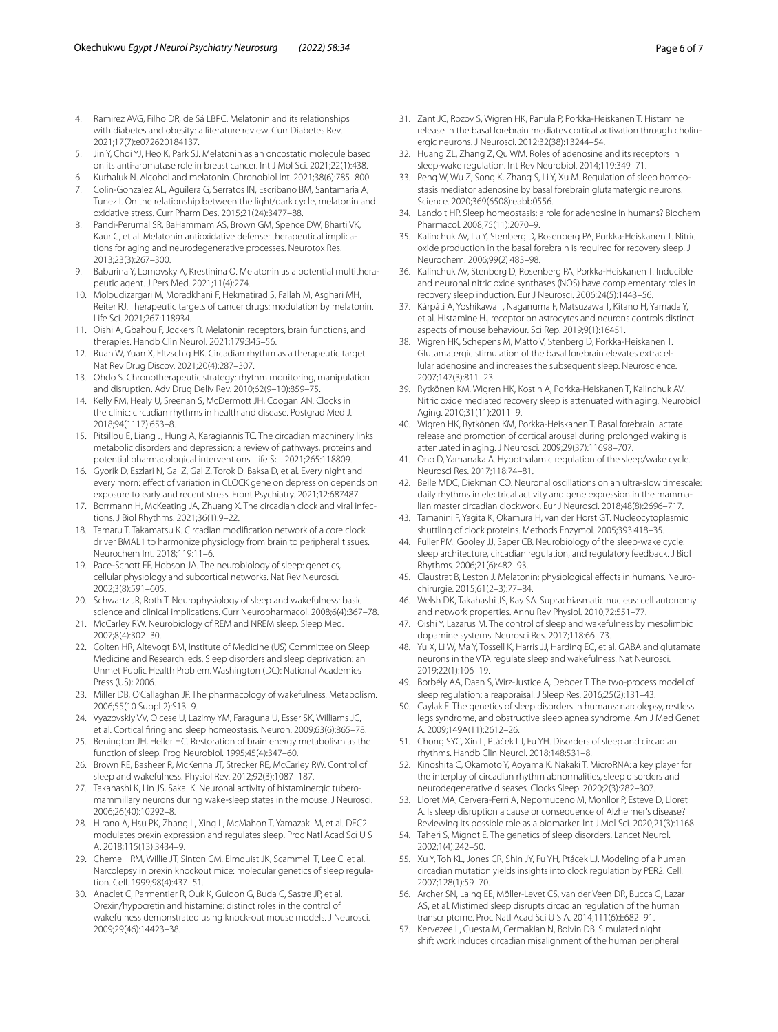- <span id="page-5-0"></span>4. Ramirez AVG, Filho DR, de Sá LBPC. Melatonin and its relationships with diabetes and obesity: a literature review. Curr Diabetes Rev. 2021;17(7):e072620184137.
- 5. Jin Y, Choi YJ, Heo K, Park SJ. Melatonin as an oncostatic molecule based on its anti-aromatase role in breast cancer. Int J Mol Sci. 2021;22(1):438.
- 6. Kurhaluk N. Alcohol and melatonin. Chronobiol Int. 2021;38(6):785–800.
- 7. Colin-Gonzalez AL, Aguilera G, Serratos IN, Escribano BM, Santamaria A, Tunez I. On the relationship between the light/dark cycle, melatonin and oxidative stress. Curr Pharm Des. 2015;21(24):3477–88.
- 8. Pandi-Perumal SR, BaHammam AS, Brown GM, Spence DW, Bharti VK, Kaur C, et al. Melatonin antioxidative defense: therapeutical implications for aging and neurodegenerative processes. Neurotox Res. 2013;23(3):267–300.
- 9. Baburina Y, Lomovsky A, Krestinina O. Melatonin as a potential multitherapeutic agent. J Pers Med. 2021;11(4):274.
- 10. Moloudizargari M, Moradkhani F, Hekmatirad S, Fallah M, Asghari MH, Reiter RJ. Therapeutic targets of cancer drugs: modulation by melatonin. Life Sci. 2021;267:118934.
- <span id="page-5-1"></span>11. Oishi A, Gbahou F, Jockers R. Melatonin receptors, brain functions, and therapies. Handb Clin Neurol. 2021;179:345–56.
- <span id="page-5-2"></span>12. Ruan W, Yuan X, Eltzschig HK. Circadian rhythm as a therapeutic target. Nat Rev Drug Discov. 2021;20(4):287–307.
- 13. Ohdo S. Chronotherapeutic strategy: rhythm monitoring, manipulation and disruption. Adv Drug Deliv Rev. 2010;62(9–10):859–75.
- 14. Kelly RM, Healy U, Sreenan S, McDermott JH, Coogan AN. Clocks in the clinic: circadian rhythms in health and disease. Postgrad Med J. 2018;94(1117):653–8.
- <span id="page-5-3"></span>15. Pitsillou E, Liang J, Hung A, Karagiannis TC. The circadian machinery links metabolic disorders and depression: a review of pathways, proteins and potential pharmacological interventions. Life Sci. 2021;265:118809.
- <span id="page-5-4"></span>16. Gyorik D, Eszlari N, Gal Z, Gal Z, Torok D, Baksa D, et al. Every night and every morn: efect of variation in CLOCK gene on depression depends on exposure to early and recent stress. Front Psychiatry. 2021;12:687487.
- <span id="page-5-45"></span>17. Borrmann H, McKeating JA, Zhuang X. The circadian clock and viral infections. J Biol Rhythms. 2021;36(1):9–22.
- <span id="page-5-5"></span>18. Tamaru T, Takamatsu K. Circadian modifcation network of a core clock driver BMAL1 to harmonize physiology from brain to peripheral tissues. Neurochem Int. 2018;119:11–6.
- <span id="page-5-6"></span>19. Pace-Schott EF, Hobson JA. The neurobiology of sleep: genetics, cellular physiology and subcortical networks. Nat Rev Neurosci. 2002;3(8):591–605.
- <span id="page-5-7"></span>20. Schwartz JR, Roth T. Neurophysiology of sleep and wakefulness: basic science and clinical implications. Curr Neuropharmacol. 2008;6(4):367–78.
- <span id="page-5-8"></span>21. McCarley RW. Neurobiology of REM and NREM sleep. Sleep Med. 2007;8(4):302–30.
- <span id="page-5-9"></span>22. Colten HR, Altevogt BM, Institute of Medicine (US) Committee on Sleep Medicine and Research, eds. Sleep disorders and sleep deprivation: an Unmet Public Health Problem. Washington (DC): National Academies Press (US); 2006.
- <span id="page-5-10"></span>23. Miller DB, O'Callaghan JP. The pharmacology of wakefulness. Metabolism. 2006;55(10 Suppl 2):S13–9.
- <span id="page-5-11"></span>24. Vyazovskiy VV, Olcese U, Lazimy YM, Faraguna U, Esser SK, Williams JC, et al. Cortical fring and sleep homeostasis. Neuron. 2009;63(6):865–78.
- <span id="page-5-12"></span>25. Benington JH, Heller HC. Restoration of brain energy metabolism as the function of sleep. Prog Neurobiol. 1995;45(4):347–60.
- <span id="page-5-13"></span>26. Brown RE, Basheer R, McKenna JT, Strecker RE, McCarley RW. Control of sleep and wakefulness. Physiol Rev. 2012;92(3):1087–187.
- <span id="page-5-14"></span>27. Takahashi K, Lin JS, Sakai K. Neuronal activity of histaminergic tuberomammillary neurons during wake-sleep states in the mouse. J Neurosci. 2006;26(40):10292–8.
- <span id="page-5-15"></span>28. Hirano A, Hsu PK, Zhang L, Xing L, McMahon T, Yamazaki M, et al. DEC2 modulates orexin expression and regulates sleep. Proc Natl Acad Sci U S A. 2018;115(13):3434–9.
- <span id="page-5-16"></span>29. Chemelli RM, Willie JT, Sinton CM, Elmquist JK, Scammell T, Lee C, et al. Narcolepsy in orexin knockout mice: molecular genetics of sleep regulation. Cell. 1999;98(4):437–51.
- <span id="page-5-17"></span>30. Anaclet C, Parmentier R, Ouk K, Guidon G, Buda C, Sastre JP, et al. Orexin/hypocretin and histamine: distinct roles in the control of wakefulness demonstrated using knock-out mouse models. J Neurosci. 2009;29(46):14423–38.
- <span id="page-5-18"></span>31. Zant JC, Rozov S, Wigren HK, Panula P, Porkka-Heiskanen T. Histamine release in the basal forebrain mediates cortical activation through cholinergic neurons. J Neurosci. 2012;32(38):13244–54.
- <span id="page-5-19"></span>32. Huang ZL, Zhang Z, Qu WM. Roles of adenosine and its receptors in sleep-wake regulation. Int Rev Neurobiol. 2014;119:349–71.
- <span id="page-5-20"></span>33. Peng W, Wu Z, Song K, Zhang S, Li Y, Xu M. Regulation of sleep homeostasis mediator adenosine by basal forebrain glutamatergic neurons. Science. 2020;369(6508):eabb0556.
- <span id="page-5-21"></span>34. Landolt HP. Sleep homeostasis: a role for adenosine in humans? Biochem Pharmacol. 2008;75(11):2070–9.
- <span id="page-5-22"></span>35. Kalinchuk AV, Lu Y, Stenberg D, Rosenberg PA, Porkka-Heiskanen T. Nitric oxide production in the basal forebrain is required for recovery sleep. J Neurochem. 2006;99(2):483–98.
- <span id="page-5-23"></span>36. Kalinchuk AV, Stenberg D, Rosenberg PA, Porkka-Heiskanen T. Inducible and neuronal nitric oxide synthases (NOS) have complementary roles in recovery sleep induction. Eur J Neurosci. 2006;24(5):1443–56.
- <span id="page-5-24"></span>37. Kárpáti A, Yoshikawa T, Naganuma F, Matsuzawa T, Kitano H, Yamada Y, et al. Histamine  $H_1$  receptor on astrocytes and neurons controls distinct aspects of mouse behaviour. Sci Rep. 2019;9(1):16451.
- <span id="page-5-25"></span>38. Wigren HK, Schepens M, Matto V, Stenberg D, Porkka-Heiskanen T. Glutamatergic stimulation of the basal forebrain elevates extracellular adenosine and increases the subsequent sleep. Neuroscience. 2007;147(3):811–23.
- <span id="page-5-26"></span>39. Rytkönen KM, Wigren HK, Kostin A, Porkka-Heiskanen T, Kalinchuk AV. Nitric oxide mediated recovery sleep is attenuated with aging. Neurobiol Aging. 2010;31(11):2011–9.
- <span id="page-5-27"></span>40. Wigren HK, Rytkönen KM, Porkka-Heiskanen T. Basal forebrain lactate release and promotion of cortical arousal during prolonged waking is attenuated in aging. J Neurosci. 2009;29(37):11698–707.
- <span id="page-5-28"></span>41. Ono D, Yamanaka A. Hypothalamic regulation of the sleep/wake cycle. Neurosci Res. 2017;118:74–81.
- <span id="page-5-29"></span>42. Belle MDC, Diekman CO. Neuronal oscillations on an ultra-slow timescale: daily rhythms in electrical activity and gene expression in the mammalian master circadian clockwork. Eur J Neurosci. 2018;48(8):2696–717.
- <span id="page-5-30"></span>43. Tamanini F, Yagita K, Okamura H, van der Horst GT. Nucleocytoplasmic shuttling of clock proteins. Methods Enzymol. 2005;393:418–35.
- <span id="page-5-31"></span>44. Fuller PM, Gooley JJ, Saper CB. Neurobiology of the sleep-wake cycle: sleep architecture, circadian regulation, and regulatory feedback. J Biol Rhythms. 2006;21(6):482–93.
- <span id="page-5-32"></span>45. Claustrat B, Leston J. Melatonin: physiological effects in humans. Neurochirurgie. 2015;61(2–3):77–84.
- <span id="page-5-33"></span>46. Welsh DK, Takahashi JS, Kay SA. Suprachiasmatic nucleus: cell autonomy and network properties. Annu Rev Physiol. 2010;72:551–77.
- <span id="page-5-34"></span>47. Oishi Y, Lazarus M. The control of sleep and wakefulness by mesolimbic dopamine systems. Neurosci Res. 2017;118:66–73.
- <span id="page-5-35"></span>48. Yu X, Li W, Ma Y, Tossell K, Harris JJ, Harding EC, et al. GABA and glutamate neurons in the VTA regulate sleep and wakefulness. Nat Neurosci. 2019;22(1):106–19.
- <span id="page-5-36"></span>49. Borbély AA, Daan S, Wirz-Justice A, Deboer T. The two-process model of sleep regulation: a reappraisal. J Sleep Res. 2016;25(2):131–43.
- <span id="page-5-37"></span>50. Caylak E. The genetics of sleep disorders in humans: narcolepsy, restless legs syndrome, and obstructive sleep apnea syndrome. Am J Med Genet A. 2009;149A(11):2612–26.
- <span id="page-5-38"></span>51. Chong SYC, Xin L, Ptáček LJ, Fu YH. Disorders of sleep and circadian rhythms. Handb Clin Neurol. 2018;148:531–8.
- <span id="page-5-39"></span>52. Kinoshita C, Okamoto Y, Aoyama K, Nakaki T. MicroRNA: a key player for the interplay of circadian rhythm abnormalities, sleep disorders and neurodegenerative diseases. Clocks Sleep. 2020;2(3):282–307.
- <span id="page-5-40"></span>53. Lloret MA, Cervera-Ferri A, Nepomuceno M, Monllor P, Esteve D, Lloret A. Is sleep disruption a cause or consequence of Alzheimer's disease? Reviewing its possible role as a biomarker. Int J Mol Sci. 2020;21(3):1168.
- <span id="page-5-41"></span>54. Taheri S, Mignot E. The genetics of sleep disorders. Lancet Neurol. 2002;1(4):242–50.
- <span id="page-5-42"></span>55. Xu Y, Toh KL, Jones CR, Shin JY, Fu YH, Ptácek LJ. Modeling of a human circadian mutation yields insights into clock regulation by PER2. Cell. 2007;128(1):59–70.
- <span id="page-5-43"></span>56. Archer SN, Laing EE, Möller-Levet CS, van der Veen DR, Bucca G, Lazar AS, et al. Mistimed sleep disrupts circadian regulation of the human transcriptome. Proc Natl Acad Sci U S A. 2014;111(6):E682–91.
- <span id="page-5-44"></span>57. Kervezee L, Cuesta M, Cermakian N, Boivin DB. Simulated night shift work induces circadian misalignment of the human peripheral